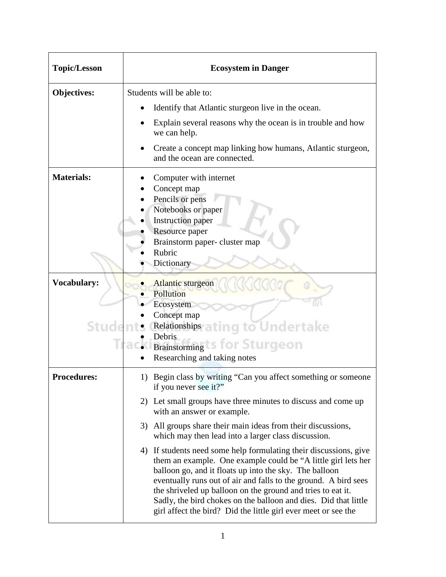| <b>Topic/Lesson</b>         | <b>Ecosystem in Danger</b>                                                                                                                                                                                                                                                                                                                                                                                                                                          |  |  |
|-----------------------------|---------------------------------------------------------------------------------------------------------------------------------------------------------------------------------------------------------------------------------------------------------------------------------------------------------------------------------------------------------------------------------------------------------------------------------------------------------------------|--|--|
| <b>Objectives:</b>          | Students will be able to:                                                                                                                                                                                                                                                                                                                                                                                                                                           |  |  |
|                             | Identify that Atlantic sturgeon live in the ocean.                                                                                                                                                                                                                                                                                                                                                                                                                  |  |  |
|                             | Explain several reasons why the ocean is in trouble and how<br>we can help.                                                                                                                                                                                                                                                                                                                                                                                         |  |  |
|                             | Create a concept map linking how humans, Atlantic sturgeon,<br>and the ocean are connected.                                                                                                                                                                                                                                                                                                                                                                         |  |  |
| <b>Materials:</b>           | Computer with internet<br>Concept map<br>Pencils or pens<br>Notebooks or paper<br><b>Instruction paper</b><br>Resource paper<br>Brainstorm paper-cluster map<br>Rubric<br>Dictionary                                                                                                                                                                                                                                                                                |  |  |
| <b>Vocabulary:</b><br>Stude | <b>Atlantic sturgeon</b><br>Pollution<br>Ecosystem<br>Concept map<br><b>Relationships a ting to Undertake</b><br>Debris<br><b>Brainstorming S for Sturgeon</b><br>Researching and taking notes                                                                                                                                                                                                                                                                      |  |  |
| <b>Procedures:</b>          | 1) Begin class by writing "Can you affect something or someone<br>if you never see it?"                                                                                                                                                                                                                                                                                                                                                                             |  |  |
|                             | 2) Let small groups have three minutes to discuss and come up<br>with an answer or example.                                                                                                                                                                                                                                                                                                                                                                         |  |  |
|                             | 3) All groups share their main ideas from their discussions,<br>which may then lead into a larger class discussion.                                                                                                                                                                                                                                                                                                                                                 |  |  |
|                             | 4) If students need some help formulating their discussions, give<br>them an example. One example could be "A little girl lets her<br>balloon go, and it floats up into the sky. The balloon<br>eventually runs out of air and falls to the ground. A bird sees<br>the shriveled up balloon on the ground and tries to eat it.<br>Sadly, the bird chokes on the balloon and dies. Did that little<br>girl affect the bird? Did the little girl ever meet or see the |  |  |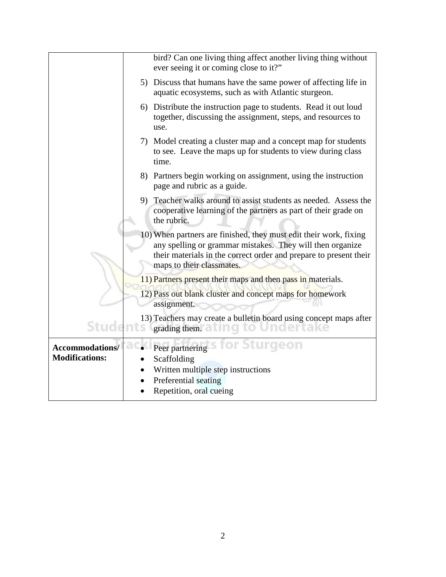|                                          | bird? Can one living thing affect another living thing without<br>ever seeing it or coming close to it?"                                                                                                                         |
|------------------------------------------|----------------------------------------------------------------------------------------------------------------------------------------------------------------------------------------------------------------------------------|
|                                          | 5) Discuss that humans have the same power of affecting life in<br>aquatic ecosystems, such as with Atlantic sturgeon.                                                                                                           |
|                                          | 6) Distribute the instruction page to students. Read it out loud<br>together, discussing the assignment, steps, and resources to<br>use.                                                                                         |
|                                          | 7) Model creating a cluster map and a concept map for students<br>to see. Leave the maps up for students to view during class<br>time.                                                                                           |
|                                          | 8) Partners begin working on assignment, using the instruction<br>page and rubric as a guide.                                                                                                                                    |
|                                          | 9) Teacher walks around to assist students as needed. Assess the<br>cooperative learning of the partners as part of their grade on<br>the rubric.                                                                                |
|                                          | 10) When partners are finished, they must edit their work, fixing<br>any spelling or grammar mistakes. They will then organize<br>their materials in the correct order and prepare to present their<br>maps to their classmates. |
|                                          | 11) Partners present their maps and then pass in materials.                                                                                                                                                                      |
|                                          | 12) Pass out blank cluster and concept maps for homework<br>assignment.                                                                                                                                                          |
| Students                                 | 13) Teachers may create a bulletin board using concept maps after<br>grading them.<br>Indertake                                                                                                                                  |
| Accommodations/<br><b>Modifications:</b> | Peer partnering S for Sturgeon<br>Scaffolding<br>Written multiple step instructions<br>Preferential seating<br>Repetition, oral cueing                                                                                           |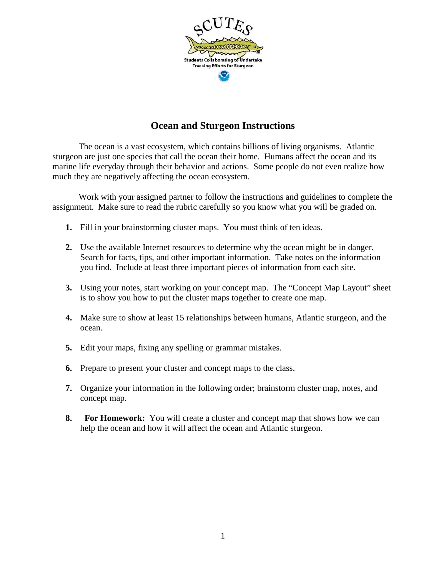

## **Ocean and Sturgeon Instructions**

 The ocean is a vast ecosystem, which contains billions of living organisms. Atlantic sturgeon are just one species that call the ocean their home. Humans affect the ocean and its marine life everyday through their behavior and actions. Some people do not even realize how much they are negatively affecting the ocean ecosystem.

 Work with your assigned partner to follow the instructions and guidelines to complete the assignment. Make sure to read the rubric carefully so you know what you will be graded on.

- **1.** Fill in your brainstorming cluster maps. You must think of ten ideas.
- **2.** Use the available Internet resources to determine why the ocean might be in danger. Search for facts, tips, and other important information. Take notes on the information you find. Include at least three important pieces of information from each site.
- **3.** Using your notes, start working on your concept map. The "Concept Map Layout" sheet is to show you how to put the cluster maps together to create one map.
- **4.** Make sure to show at least 15 relationships between humans, Atlantic sturgeon, and the ocean.
- **5.** Edit your maps, fixing any spelling or grammar mistakes.
- **6.** Prepare to present your cluster and concept maps to the class.
- **7.** Organize your information in the following order; brainstorm cluster map, notes, and concept map.
- **8. For Homework:** You will create a cluster and concept map that shows how we can help the ocean and how it will affect the ocean and Atlantic sturgeon.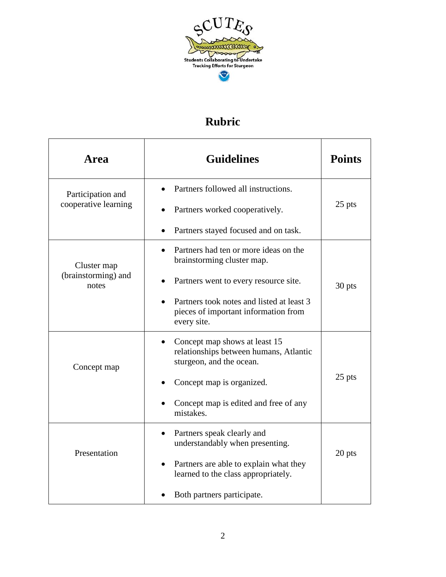

## **Rubric**

| <b>Area</b>                  | <b>Guidelines</b>                                                                                   | <b>Points</b> |
|------------------------------|-----------------------------------------------------------------------------------------------------|---------------|
| Participation and            | Partners followed all instructions.                                                                 |               |
| cooperative learning         | Partners worked cooperatively.                                                                      | 25 pts        |
|                              | Partners stayed focused and on task.                                                                |               |
| Cluster map                  | Partners had ten or more ideas on the<br>brainstorming cluster map.                                 |               |
| (brainstorming) and<br>notes | Partners went to every resource site.                                                               | 30 pts        |
|                              | Partners took notes and listed at least 3<br>pieces of important information from<br>every site.    |               |
| Concept map                  | Concept map shows at least 15<br>relationships between humans, Atlantic<br>sturgeon, and the ocean. |               |
|                              | Concept map is organized.                                                                           | 25 pts        |
|                              | Concept map is edited and free of any<br>mistakes.                                                  |               |
| Presentation                 | Partners speak clearly and<br>understandably when presenting.                                       |               |
|                              | Partners are able to explain what they<br>learned to the class appropriately.                       | 20 pts        |
|                              | Both partners participate.                                                                          |               |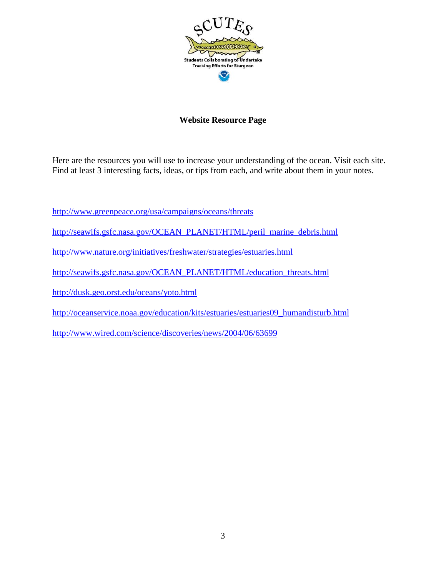

## **Website Resource Page**

Here are the resources you will use to increase your understanding of the ocean. Visit each site. Find at least 3 interesting facts, ideas, or tips from each, and write about them in your notes.

<http://www.greenpeace.org/usa/campaigns/oceans/threats>

- [http://seawifs.gsfc.nasa.gov/OCEAN\\_PLANET/HTML/peril\\_marine\\_debris.html](http://seawifs.gsfc.nasa.gov/OCEAN_PLANET/HTML/peril_marine_debris.html)
- <http://www.nature.org/initiatives/freshwater/strategies/estuaries.html>
- [http://seawifs.gsfc.nasa.gov/OCEAN\\_PLANET/HTML/education\\_threats.html](http://seawifs.gsfc.nasa.gov/OCEAN_PLANET/HTML/education_threats.html)
- <http://dusk.geo.orst.edu/oceans/yoto.html>
- [http://oceanservice.noaa.gov/education/kits/estuaries/estuaries09\\_humandisturb.html](http://oceanservice.noaa.gov/education/kits/estuaries/estuaries09_humandisturb.html)

<http://www.wired.com/science/discoveries/news/2004/06/63699>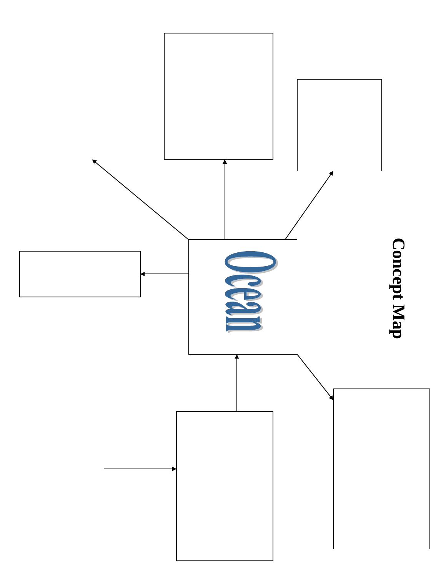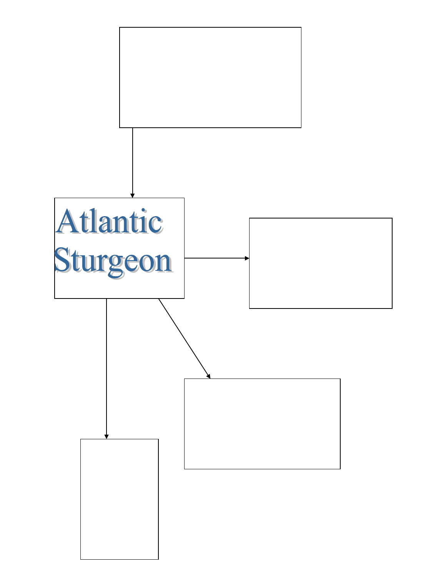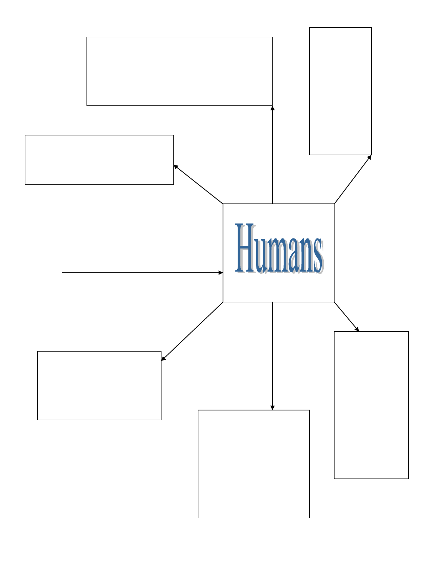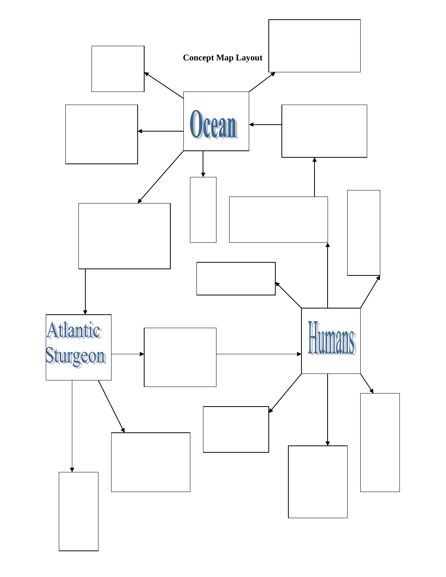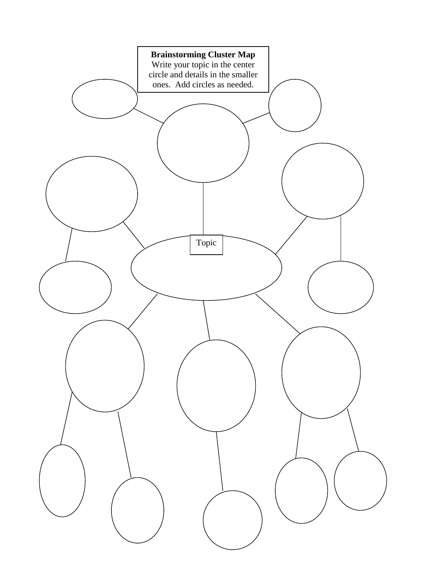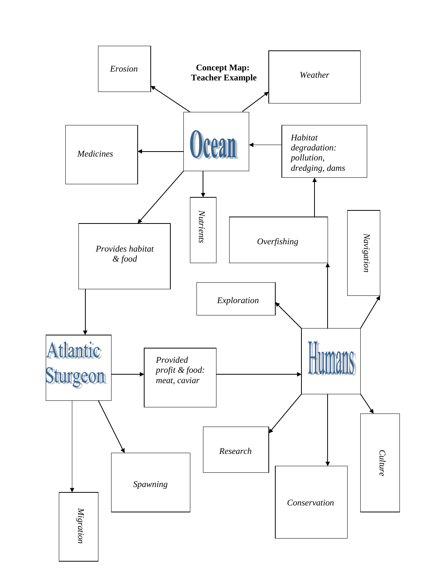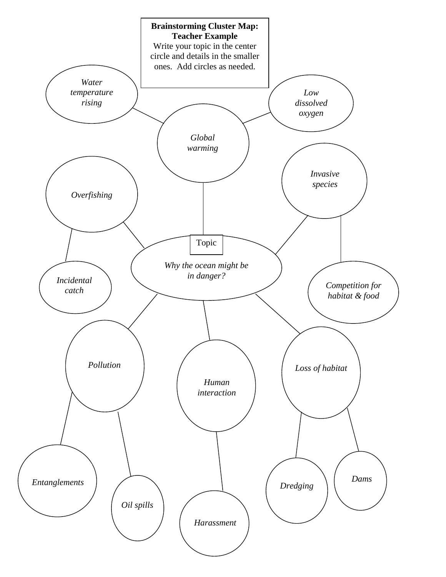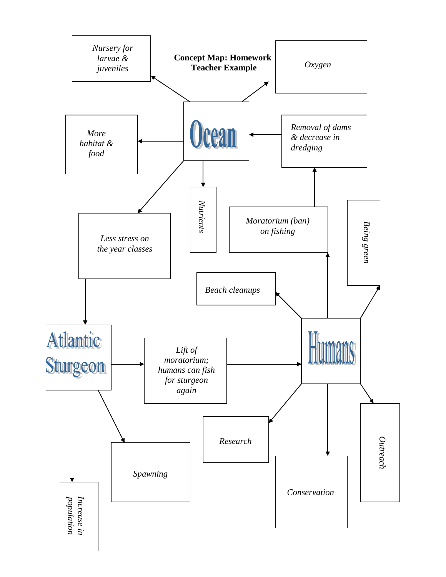